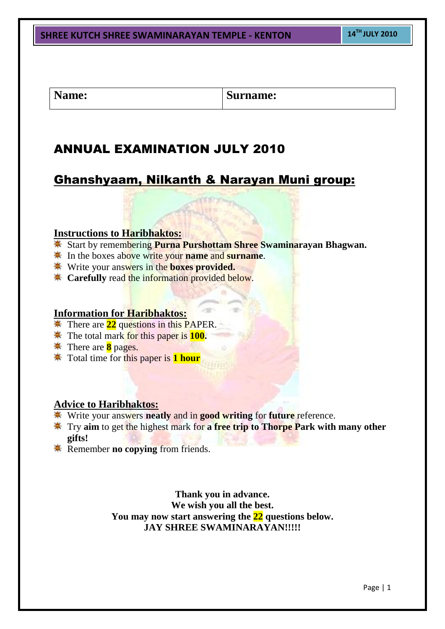### **SHREE KUTCH SHREE SWAMINARAYAN TEMPLE - KENTON <sup>14</sup>TH JULY 2010**

Name: **Surname: Surname:** 

# ANNUAL EXAMINATION JULY 2010

# Ghanshyaam, Nilkanth & Narayan Muni group:

### **Instructions to Haribhaktos:**

- Start by remembering **Purna Purshottam Shree Swaminarayan Bhagwan.**
- **EX** In the boxes above write your **name** and **surname**.
- Write your answers in the **boxes provided.**
- **Carefully** read the information provided below.

#### **Information for Haribhaktos:**

- **There are 22 questions in this PAPER.**
- **The total mark for this paper is 100.**
- **There are 8 pages.**
- Total time for this paper is **1 hour**

### **Advice to Haribhaktos:**

- Write your answers **neatly** and in **good writing** for **future** reference.
- **EXECUTE:** Try aim to get the highest mark for a free trip to Thorpe Park with many other **gifts!**
- **Remember no copying from friends.**

**Thank you in advance. We wish you all the best. You may now start answering the 22 questions below. JAY SHREE SWAMINARAYAN!!!!!**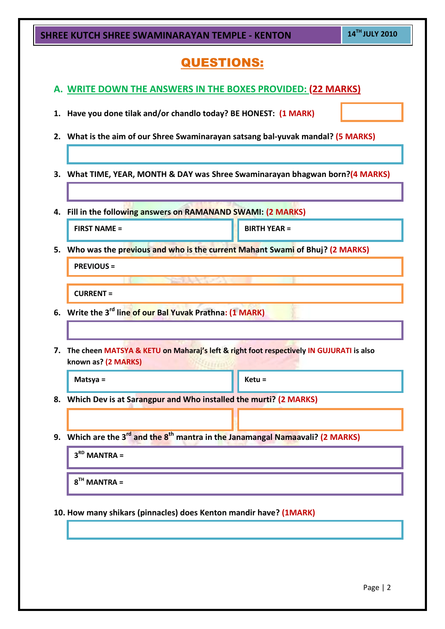| SHREE KUTCH SHREE SWAMINARAYAN TEMPLE - KENTON              | 14TH JULY 2010                                                                                         |                     |  |  |  |  |
|-------------------------------------------------------------|--------------------------------------------------------------------------------------------------------|---------------------|--|--|--|--|
| <b>QUESTIONS:</b>                                           |                                                                                                        |                     |  |  |  |  |
| A. WRITE DOWN THE ANSWERS IN THE BOXES PROVIDED: (22 MARKS) |                                                                                                        |                     |  |  |  |  |
| 1.                                                          | Have you done tilak and/or chandlo today? BE HONEST: (1 MARK)                                          |                     |  |  |  |  |
|                                                             | 2. What is the aim of our Shree Swaminarayan satsang bal-yuvak mandal? (5 MARKS)                       |                     |  |  |  |  |
|                                                             |                                                                                                        |                     |  |  |  |  |
| З.                                                          | What TIME, YEAR, MONTH & DAY was Shree Swaminarayan bhagwan born?(4 MARKS)                             |                     |  |  |  |  |
| 4.                                                          | Fill in the following answers on RAMANAND SWAMI: (2 MARKS)                                             |                     |  |  |  |  |
| <b>FIRST NAME =</b>                                         |                                                                                                        | <b>BIRTH YEAR =</b> |  |  |  |  |
|                                                             | 5. Who was the previous and who is the current Mahant Swami of Bhuj? (2 MARKS)                         |                     |  |  |  |  |
| <b>PREVIOUS =</b>                                           |                                                                                                        |                     |  |  |  |  |
| <b>CURRENT =</b>                                            |                                                                                                        |                     |  |  |  |  |
|                                                             | 6. Write the 3 <sup>rd</sup> line of our Bal Yuvak Prathna: (1 MARK)                                   |                     |  |  |  |  |
|                                                             |                                                                                                        |                     |  |  |  |  |
| known as? (2 MARKS)                                         | 7. The cheen MATSYA & KETU on Maharaj's left & right foot respectively IN GUJURATI is also<br>11111    |                     |  |  |  |  |
| Matsya =                                                    |                                                                                                        | $Ketu =$            |  |  |  |  |
|                                                             | 8. Which Dev is at Sarangpur and Who installed the murti? (2 MARKS)                                    |                     |  |  |  |  |
|                                                             |                                                                                                        |                     |  |  |  |  |
|                                                             | 9. Which are the 3 <sup>rd</sup> and the 8 <sup>th</sup> mantra in the Janamangal Namaavali? (2 MARKS) |                     |  |  |  |  |
| $3RD$ MANTRA =                                              |                                                                                                        |                     |  |  |  |  |
| $8TH$ MANTRA =                                              |                                                                                                        |                     |  |  |  |  |
|                                                             |                                                                                                        |                     |  |  |  |  |
|                                                             | 10. How many shikars (pinnacles) does Kenton mandir have? (1MARK)                                      |                     |  |  |  |  |
|                                                             |                                                                                                        |                     |  |  |  |  |
|                                                             |                                                                                                        |                     |  |  |  |  |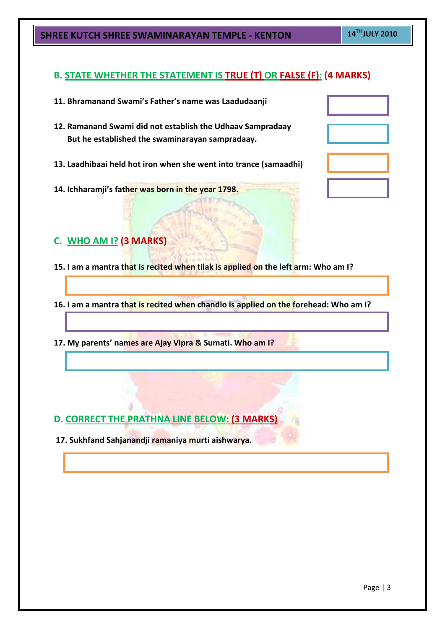### **B. STATE WHETHER THE STATEMENT IS TRUE (T) OR FALSE (F): (4 MARKS)**

| 11. Bhramanand Swami's Father's name was Laadudaanji                                                          |  |
|---------------------------------------------------------------------------------------------------------------|--|
| 12. Ramanand Swami did not establish the Udhaav Sampradaay<br>But he established the swaminarayan sampradaay. |  |
| 13. Laadhibaai held hot iron when she went into trance (samaadhi)                                             |  |

- **14. Ichharamji's father was born in the year 1798.**
- **C. WHO AM I? (3 MARKS)**
- **15. I am a mantra that is recited when tilak is applied on the left arm: Who am I?**
- **16. I am a mantra that is recited when chandlo is applied on the forehead: Who am I?**
- **17. My parents' names are Ajay Vipra & Sumati. Who am I?**

- **D. CORRECT THE PRATHNA LINE BELOW: (3 MARKS)**
- **17. Sukhfand Sahjanandji ramaniya murti aishwarya.**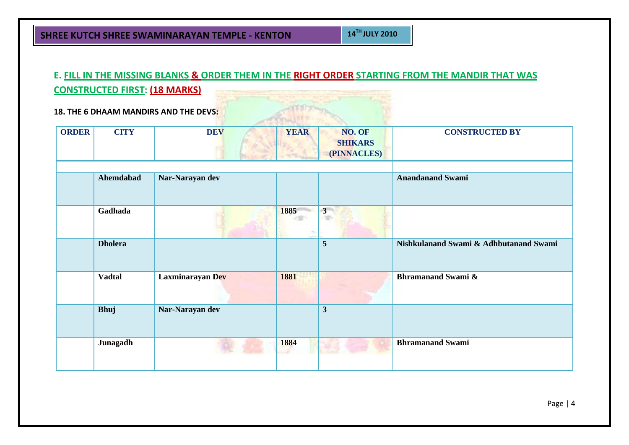# **E. FILL IN THE MISSING BLANKS & ORDER THEM IN THE RIGHT ORDER STARTING FROM THE MANDIR THAT WAS CONSTRUCTED FIRST: (18 MARKS)**

**18. THE 6 DHAAM MANDIRS AND THE DEVS:**

| <b>ORDER</b> | <b>CITY</b>    | <b>DEV</b>       | <b>YEAR</b> | NO. OF<br><b>SHIKARS</b><br>(PINNACLES) | <b>CONSTRUCTED BY</b>                  |
|--------------|----------------|------------------|-------------|-----------------------------------------|----------------------------------------|
|              | Ahemdabad      | Nar-Narayan dev  |             |                                         | <b>Anandanand Swami</b>                |
|              | Gadhada        |                  | 1885        | $3 -$                                   |                                        |
|              | <b>Dholera</b> |                  |             | $5\overline{5}$                         | Nishkulanand Swami & Adhbutanand Swami |
|              | <b>Vadtal</b>  | Laxminarayan Dev | 1881        |                                         | <b>Bhramanand Swami &amp;</b>          |
|              | <b>Bhuj</b>    | Nar-Narayan dev  |             | $\mathbf{3}$                            |                                        |
|              | Junagadh       |                  | 1884        |                                         | <b>Bhramanand Swami</b>                |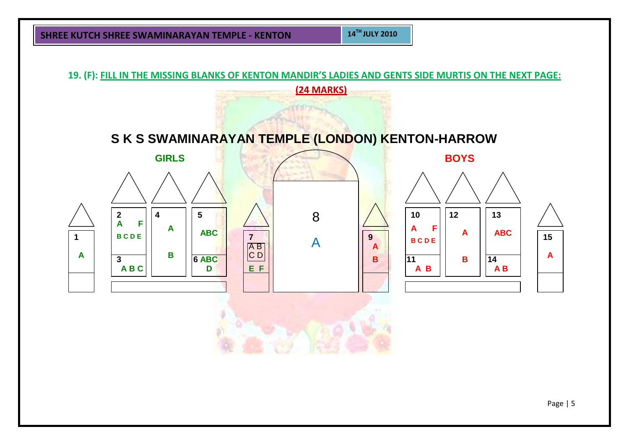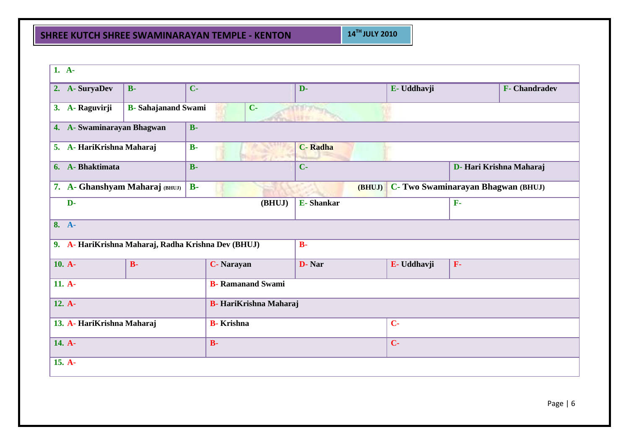| $1. A-$                                             |                                                                                         |                    |                |  |             |           |                         |  |
|-----------------------------------------------------|-----------------------------------------------------------------------------------------|--------------------|----------------|--|-------------|-----------|-------------------------|--|
| 2. A-SuryaDev                                       | $B-$                                                                                    | $C -$              | D-             |  | E- Uddhavji |           | <b>F-</b> Chandradev    |  |
| 3. A- Raguvirji                                     | <b>B</b> - Sahajanand Swami<br>$C -$                                                    |                    |                |  |             |           |                         |  |
| 4. A-Swaminarayan Bhagwan<br>$B -$                  |                                                                                         |                    |                |  |             |           |                         |  |
| 5. A-HariKrishna Maharaj                            |                                                                                         | $B -$              | <b>C-Radha</b> |  |             |           |                         |  |
| 6. A-Bhaktimata                                     | $B -$                                                                                   |                    | $C -$          |  |             |           | D- Hari Krishna Maharaj |  |
|                                                     | C- Two Swaminarayan Bhagwan (BHUJ)<br>7. A- Ghanshyam Maharaj (BHUJ)<br>$B -$<br>(BHUJ) |                    |                |  |             |           |                         |  |
| $\overline{\textbf{(BHUJ)}}$<br>D-                  |                                                                                         |                    | E-Shankar      |  |             |           |                         |  |
| $8. A-$                                             |                                                                                         |                    |                |  |             |           |                         |  |
| 9. A- HariKrishna Maharaj, Radha Krishna Dev (BHUJ) |                                                                                         |                    | $B -$          |  |             |           |                         |  |
| $10. A-$                                            | $B -$                                                                                   | <b>C</b> - Narayan | D-Nar          |  | E- Uddhavji | ${\bf F}$ |                         |  |
| 11. A-<br><b>B</b> - Ramanand Swami                 |                                                                                         |                    |                |  |             |           |                         |  |
| $12. A-$<br><b>B-</b> HariKrishna Maharaj           |                                                                                         |                    |                |  |             |           |                         |  |
| 13. A-HariKrishna Maharaj                           |                                                                                         | <b>B</b> -Krishna  | $C -$          |  |             |           |                         |  |
| 14. A-                                              |                                                                                         | $B -$              | $C -$          |  |             |           |                         |  |
| 15. A-                                              |                                                                                         |                    |                |  |             |           |                         |  |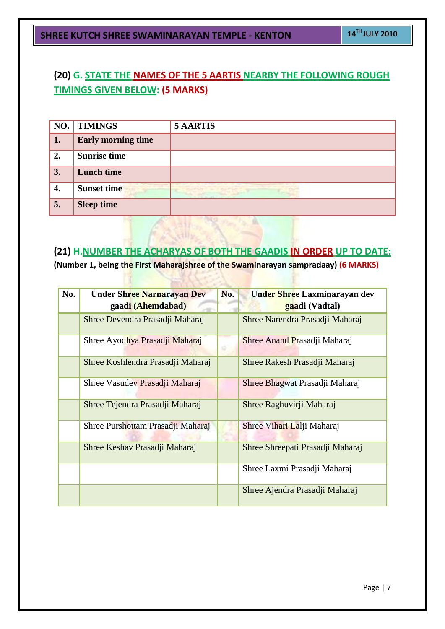## **(20) G. STATE THE NAMES OF THE 5 AARTIS NEARBY THE FOLLOWING ROUGH TIMINGS GIVEN BELOW: (5 MARKS)**

| NO. | <b>TIMINGS</b>            | <b>5 AARTIS</b> |
|-----|---------------------------|-----------------|
| 1.  | <b>Early morning time</b> |                 |
| 2.  | <b>Sunrise time</b>       |                 |
| 3.  | <b>Lunch time</b>         |                 |
| 4.  | <b>Sunset time</b>        |                 |
| 5.  | <b>Sleep time</b>         |                 |

## **(21) H.NUMBER THE ACHARYAS OF BOTH THE GAADIS IN ORDER UP TO DATE:**

**(Number 1, being the First Maharajshree of the Swaminarayan sampradaay) (6 MARKS)**

cilly

| No. | <b>Under Shree Narnarayan Dev</b> | No. | Under Shree Laxminarayan dev     |
|-----|-----------------------------------|-----|----------------------------------|
|     | gaadi (Ahemdabad)                 |     | gaadi (Vadtal)                   |
|     | Shree Devendra Prasadji Maharaj   |     | Shree Narendra Prasadji Maharaj  |
|     | Shree Ayodhya Prasadji Maharaj    |     | Shree Anand Prasadji Maharaj     |
|     | Shree Koshlendra Prasadji Maharaj |     | Shree Rakesh Prasadji Maharaj    |
|     | Shree Vasudev Prasadji Maharaj    |     | Shree Bhagwat Prasadji Maharaj   |
|     | Shree Tejendra Prasadji Maharaj   |     | Shree Raghuvirji Maharaj         |
|     | Shree Purshottam Prasadji Maharaj |     | Shree Vihari Lalji Maharaj       |
|     | Shree Keshav Prasadji Maharaj     |     | Shree Shreepati Prasadji Maharaj |
|     |                                   |     | Shree Laxmi Prasadji Maharaj     |
|     |                                   |     | Shree Ajendra Prasadji Maharaj   |